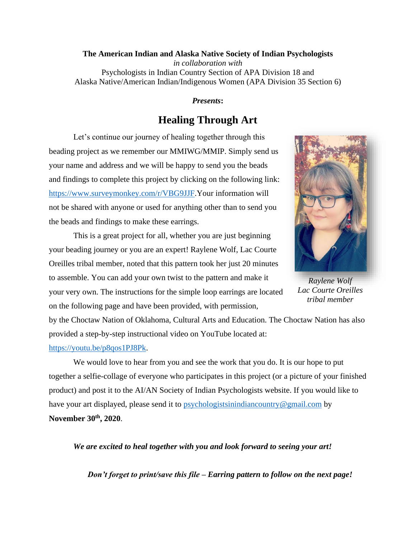## **The American Indian and Alaska Native Society of Indian Psychologists**  *in collaboration with*  Psychologists in Indian Country Section of APA Division 18 and Alaska Native/American Indian/Indigenous Women (APA Division 35 Section 6)

## *Presents***:**

## **Healing Through Art**

Let's continue our journey of healing together through this beading project as we remember our MMIWG/MMIP. Simply send us your name and address and we will be happy to send you the beads and findings to complete this project by clicking on the following link: [https://www.surveymonkey.com/r/VBG9JJF.](https://www.surveymonkey.com/r/VBG9JJF)Your information will not be shared with anyone or used for anything other than to send you the beads and findings to make these earrings.

This is a great project for all, whether you are just beginning your beading journey or you are an expert! Raylene Wolf, Lac Courte Oreilles tribal member, noted that this pattern took her just 20 minutes to assemble. You can add your own twist to the pattern and make it your very own. The instructions for the simple loop earrings are located on the following page and have been provided, with permission,



*Raylene Wolf Lac Courte Oreilles tribal member*

by the Choctaw Nation of Oklahoma, Cultural Arts and Education. The Choctaw Nation has also provided a step-by-step instructional video on YouTube located at: [https://youtu.be/p8qos1PJ8Pk.](https://youtu.be/p8qos1PJ8Pk)

We would love to hear from you and see the work that you do. It is our hope to put together a selfie-collage of everyone who participates in this project (or a picture of your finished product) and post it to the AI/AN Society of Indian Psychologists website. If you would like to have your art displayed, please send it to [psychologistsinindiancountry@gmail.com](mailto:psychologistsinindiancountry@gmail.com) by **November 30th, 2020**.

*We are excited to heal together with you and look forward to seeing your art!* 

*Don't forget to print/save this file – Earring pattern to follow on the next page!*